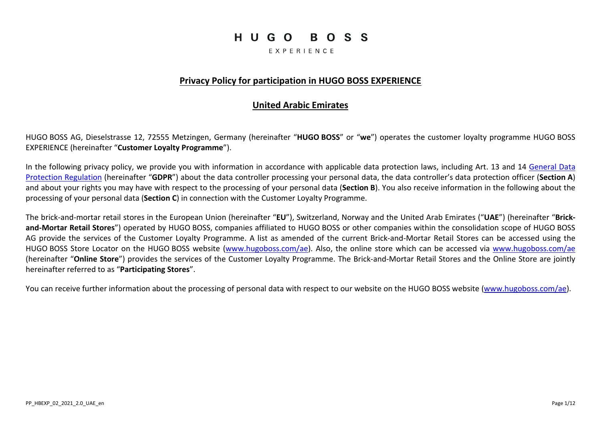# HUGO BOSS

EXPERIENCE

### **Privacy Policy for participation in HUGO BOSS EXPERIENCE**

### **United Arabic Emirates**

HUGO BOSS AG, Dieselstrasse 12, 72555 Metzingen, Germany (hereinafter "**HUGO BOSS**" or "**we**") operates the customer loyalty programme HUGO BOSS EXPERIENCE (hereinafter "**Customer Loyalty Programme**").

In the following privacy policy, we provide you with information in accordance with applicable data protection laws, including Art. 13 and 14 [General Data](http://eur-lex.europa.eu/legal-content/DE/TXT/ELI/?eliuri=eli:reg:2016:679:oj)  [Protection Regulation](http://eur-lex.europa.eu/legal-content/DE/TXT/ELI/?eliuri=eli:reg:2016:679:oj) (hereinafter "**GDPR**") about the data controller processing your personal data, the data controller's data protection officer (**Section [A](#page-2-0)**) and about your rights you may have with respect to the processing of your personal data (**Section [B](#page-3-0)**). You also receive information in the following about the processing of your personal data (**Section [C](#page-4-0)**) in connection with the Customer Loyalty Programme.

The brick-and-mortar retail stores in the European Union (hereinafter "**EU**"), Switzerland, Norway and the United Arab Emirates ("**UAE**") (hereinafter "**Brickand-Mortar Retail Stores**") operated by HUGO BOSS, companies affiliated to HUGO BOSS or other companies within the consolidation scope of HUGO BOSS AG provide the services of the Customer Loyalty Programme. A list as amended of the current Brick-and-Mortar Retail Stores can be accessed using the HUGO BOSS Store Locator on the HUGO BOSS website [\(www.hugoboss.com/](http://www.hugoboss.com/)ae). Also, the online store which can be accessed via [www.hugoboss.com/](http://www.hugoboss.com/)ae (hereinafter "**Online Store**") provides the services of the Customer Loyalty Programme. The Brick-and-Mortar Retail Stores and the Online Store are jointly hereinafter referred to as "**Participating Stores**".

You can receive further information about the processing of personal data with respect to our website on the HUGO BOSS website [\(www.hugoboss.com/](http://www.hugoboss.com/)ae).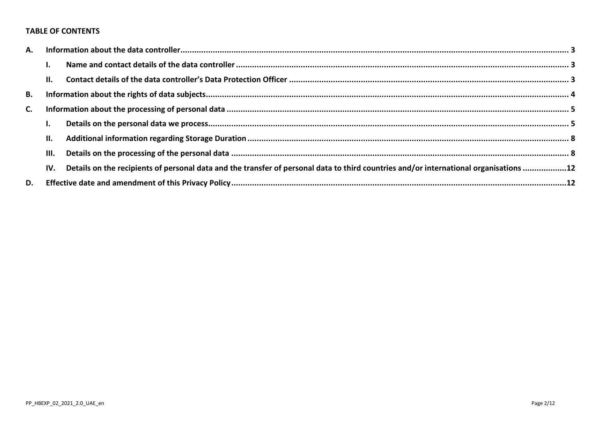#### **TABLE OF CONTENTS**

| A. |      |                                                                                                                                       |  |
|----|------|---------------------------------------------------------------------------------------------------------------------------------------|--|
|    |      |                                                                                                                                       |  |
|    | П.   |                                                                                                                                       |  |
| В. |      |                                                                                                                                       |  |
| C. |      |                                                                                                                                       |  |
|    |      |                                                                                                                                       |  |
|    | II.  |                                                                                                                                       |  |
|    | III. |                                                                                                                                       |  |
|    | IV.  | Details on the recipients of personal data and the transfer of personal data to third countries and/or international organisations 12 |  |
| D. |      |                                                                                                                                       |  |
|    |      |                                                                                                                                       |  |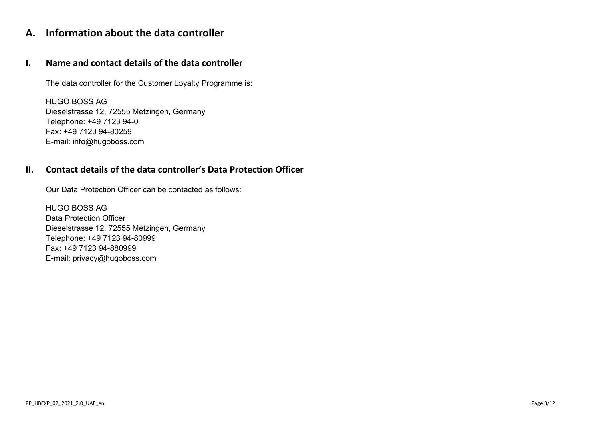# <span id="page-2-0"></span>**A. Information about the data controller**

## <span id="page-2-1"></span>**I. Name and contact details of the data controller**

The data controller for the Customer Loyalty Programme is:

HUGO BOSS AG Dieselstrasse 12, 72555 Metzingen, Germany Telephone: +49 7123 94-0 Fax: +49 7123 94-80259 E-mail: info@hugoboss.com

## <span id="page-2-2"></span>**II. Contact details of the data controller's Data Protection Officer**

Our Data Protection Officer can be contacted as follows:

HUGO BOSS AG Data Protection Officer Dieselstrasse 12, 72555 Metzingen, Germany Telephone: +49 7123 94-80999 Fax: +49 7123 94-880999 E-mail: privacy@hugoboss.com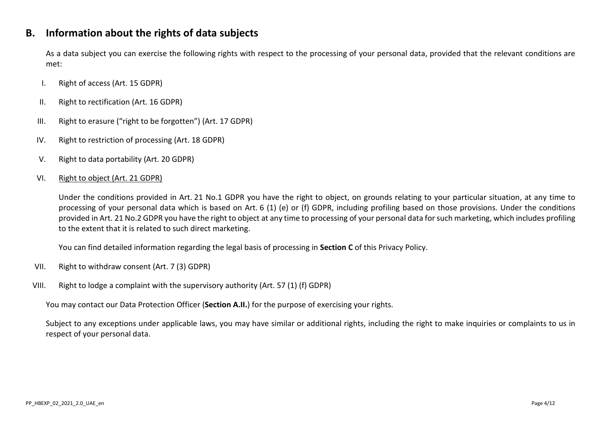## <span id="page-3-0"></span>**B. Information about the rights of data subjects**

As a data subject you can exercise the following rights with respect to the processing of your personal data, provided that the relevant conditions are met:

- I. Right of access (Art. 15 GDPR)
- II. Right to rectification (Art. 16 GDPR)
- III. Right to erasure ("right to be forgotten") (Art. 17 GDPR)
- IV. Right to restriction of processing (Art. 18 GDPR)
- V. Right to data portability (Art. 20 GDPR)

### VI. Right to object (Art. 21 GDPR)

Under the conditions provided in Art. 21 No.1 GDPR you have the right to object, on grounds relating to your particular situation, at any time to processing of your personal data which is based on Art. 6 (1) (e) or (f) GDPR, including profiling based on those provisions. Under the conditions provided in Art. 21 No.2 GDPR you have the right to object at any time to processing of your personal data for such marketing, which includes profiling to the extent that it is related to such direct marketing.

You can find detailed information regarding the legal basis of processing in **Sectio[n C](#page-4-0)** of this Privacy Policy.

- VII. Right to withdraw consent (Art. 7 (3) GDPR)
- VIII. Right to lodge a complaint with the supervisory authority (Art. 57 (1) (f) GDPR)

You may contact our Data Protection Officer (**Section [A.II.](#page-2-2)**) for the purpose of exercising your rights.

Subject to any exceptions under applicable laws, you may have similar or additional rights, including the right to make inquiries or complaints to us in respect of your personal data.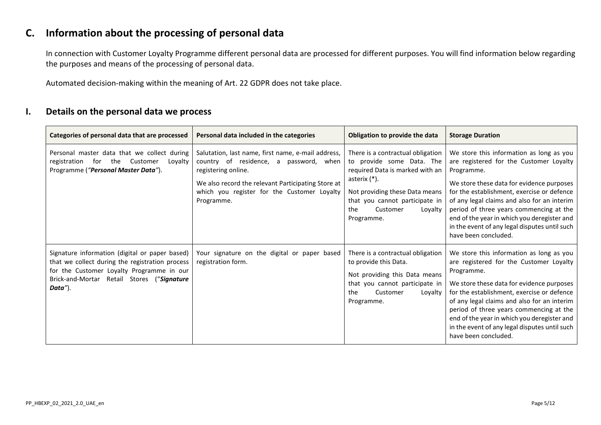# <span id="page-4-0"></span>**C. Information about the processing of personal data**

In connection with Customer Loyalty Programme different personal data are processed for different purposes. You will find information below regarding the purposes and means of the processing of personal data.

Automated decision-making within the meaning of Art. 22 GDPR does not take place.

### <span id="page-4-1"></span>**I. Details on the personal data we process**

| Categories of personal data that are processed                                                                                                                                                          | Personal data included in the categories                                                                                                                                                                                               | Obligation to provide the data                                                                                                                                                                                                       | <b>Storage Duration</b>                                                                                                                                                                                                                                                                                                                                                                                        |
|---------------------------------------------------------------------------------------------------------------------------------------------------------------------------------------------------------|----------------------------------------------------------------------------------------------------------------------------------------------------------------------------------------------------------------------------------------|--------------------------------------------------------------------------------------------------------------------------------------------------------------------------------------------------------------------------------------|----------------------------------------------------------------------------------------------------------------------------------------------------------------------------------------------------------------------------------------------------------------------------------------------------------------------------------------------------------------------------------------------------------------|
| Personal master data that we collect during<br>for the<br>Customer<br>registration<br>Lovalty<br>Programme ("Personal Master Data").                                                                    | Salutation, last name, first name, e-mail address,<br>country of residence, a password, when<br>registering online.<br>We also record the relevant Participating Store at<br>which you register for the Customer Loyalty<br>Programme. | There is a contractual obligation<br>to provide some Data. The<br>required Data is marked with an<br>asterix $(*)$ .<br>Not providing these Data means<br>that you cannot participate in<br>the<br>Customer<br>Loyalty<br>Programme. | We store this information as long as you<br>are registered for the Customer Loyalty<br>Programme.<br>We store these data for evidence purposes<br>for the establishment, exercise or defence<br>of any legal claims and also for an interim<br>period of three years commencing at the<br>end of the year in which you deregister and<br>in the event of any legal disputes until such<br>have been concluded. |
| Signature information (digital or paper based)<br>that we collect during the registration process<br>for the Customer Loyalty Programme in our<br>Brick-and-Mortar Retail Stores ("Signature<br>Data"). | Your signature on the digital or paper based<br>registration form.                                                                                                                                                                     | There is a contractual obligation<br>to provide this Data.<br>Not providing this Data means<br>that you cannot participate in<br>the<br>Customer<br>Loyalty<br>Programme.                                                            | We store this information as long as you<br>are registered for the Customer Loyalty<br>Programme.<br>We store these data for evidence purposes<br>for the establishment, exercise or defence<br>of any legal claims and also for an interim<br>period of three years commencing at the<br>end of the year in which you deregister and<br>in the event of any legal disputes until such<br>have been concluded. |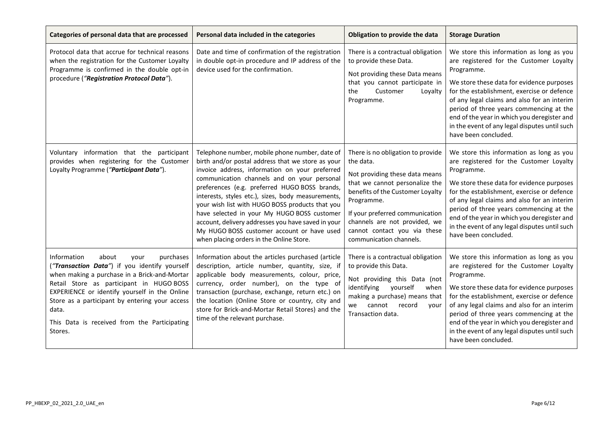| Categories of personal data that are processed                                                                                                                                                                                                                                                                                                                | Personal data included in the categories                                                                                                                                                                                                                                                                                                                                                                                                                                                                                                                      | Obligation to provide the data                                                                                                                                                                                                                                                                      | <b>Storage Duration</b>                                                                                                                                                                                                                                                                                                                                                                                        |
|---------------------------------------------------------------------------------------------------------------------------------------------------------------------------------------------------------------------------------------------------------------------------------------------------------------------------------------------------------------|---------------------------------------------------------------------------------------------------------------------------------------------------------------------------------------------------------------------------------------------------------------------------------------------------------------------------------------------------------------------------------------------------------------------------------------------------------------------------------------------------------------------------------------------------------------|-----------------------------------------------------------------------------------------------------------------------------------------------------------------------------------------------------------------------------------------------------------------------------------------------------|----------------------------------------------------------------------------------------------------------------------------------------------------------------------------------------------------------------------------------------------------------------------------------------------------------------------------------------------------------------------------------------------------------------|
| Protocol data that accrue for technical reasons<br>when the registration for the Customer Loyalty<br>Programme is confirmed in the double opt-in<br>procedure ("Registration Protocol Data").                                                                                                                                                                 | Date and time of confirmation of the registration<br>in double opt-in procedure and IP address of the<br>device used for the confirmation.                                                                                                                                                                                                                                                                                                                                                                                                                    | There is a contractual obligation<br>to provide these Data.<br>Not providing these Data means<br>that you cannot participate in<br>Customer<br>the<br>Lovalty<br>Programme.                                                                                                                         | We store this information as long as you<br>are registered for the Customer Loyalty<br>Programme.<br>We store these data for evidence purposes<br>for the establishment, exercise or defence<br>of any legal claims and also for an interim<br>period of three years commencing at the<br>end of the year in which you deregister and<br>in the event of any legal disputes until such<br>have been concluded. |
| Voluntary information that the participant<br>provides when registering for the Customer<br>Loyalty Programme ("Participant Data").                                                                                                                                                                                                                           | Telephone number, mobile phone number, date of<br>birth and/or postal address that we store as your<br>invoice address, information on your preferred<br>communication channels and on your personal<br>preferences (e.g. preferred HUGO BOSS brands,<br>interests, styles etc.), sizes, body measurements,<br>your wish list with HUGO BOSS products that you<br>have selected in your My HUGO BOSS customer<br>account, delivery addresses you have saved in your<br>My HUGO BOSS customer account or have used<br>when placing orders in the Online Store. | There is no obligation to provide<br>the data.<br>Not providing these data means<br>that we cannot personalize the<br>benefits of the Customer Loyalty<br>Programme.<br>If your preferred communication<br>channels are not provided, we<br>cannot contact you via these<br>communication channels. | We store this information as long as you<br>are registered for the Customer Loyalty<br>Programme.<br>We store these data for evidence purposes<br>for the establishment, exercise or defence<br>of any legal claims and also for an interim<br>period of three years commencing at the<br>end of the year in which you deregister and<br>in the event of any legal disputes until such<br>have been concluded. |
| Information<br>purchases<br>about<br>your<br>("Transaction Data") if you identify yourself<br>when making a purchase in a Brick-and-Mortar<br>Retail Store as participant in HUGO BOSS<br>EXPERIENCE or identify yourself in the Online<br>Store as a participant by entering your access<br>data.<br>This Data is received from the Participating<br>Stores. | Information about the articles purchased (article<br>description, article number, quantity, size, if<br>applicable body measurements, colour, price,<br>currency, order number), on the type of<br>transaction (purchase, exchange, return etc.) on<br>the location (Online Store or country, city and<br>store for Brick-and-Mortar Retail Stores) and the<br>time of the relevant purchase.                                                                                                                                                                 | There is a contractual obligation<br>to provide this Data.<br>Not providing this Data (not<br>identifying<br>yourself<br>when<br>making a purchase) means that<br>cannot<br>record<br>we<br>your<br>Transaction data.                                                                               | We store this information as long as you<br>are registered for the Customer Loyalty<br>Programme.<br>We store these data for evidence purposes<br>for the establishment, exercise or defence<br>of any legal claims and also for an interim<br>period of three years commencing at the<br>end of the year in which you deregister and<br>in the event of any legal disputes until such<br>have been concluded. |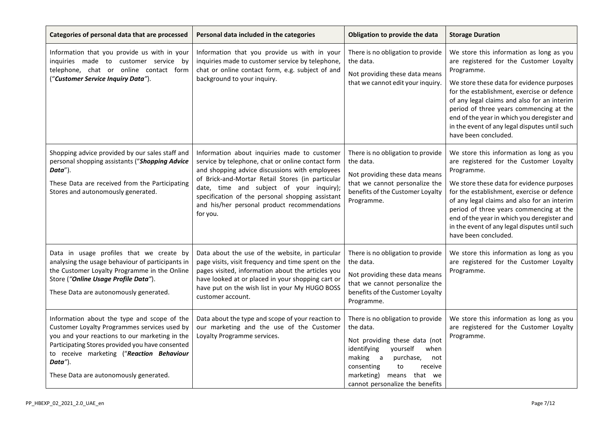| Categories of personal data that are processed                                                                                                                                                                                                                                                      | Personal data included in the categories                                                                                                                                                                                                                                                                                                                            | Obligation to provide the data                                                                                                                                                                                                                      | <b>Storage Duration</b>                                                                                                                                                                                                                                                                                                                                                                                        |
|-----------------------------------------------------------------------------------------------------------------------------------------------------------------------------------------------------------------------------------------------------------------------------------------------------|---------------------------------------------------------------------------------------------------------------------------------------------------------------------------------------------------------------------------------------------------------------------------------------------------------------------------------------------------------------------|-----------------------------------------------------------------------------------------------------------------------------------------------------------------------------------------------------------------------------------------------------|----------------------------------------------------------------------------------------------------------------------------------------------------------------------------------------------------------------------------------------------------------------------------------------------------------------------------------------------------------------------------------------------------------------|
| Information that you provide us with in your<br>inquiries made to customer service by<br>telephone, chat or online contact form<br>("Customer Service Inquiry Data").                                                                                                                               | Information that you provide us with in your<br>inquiries made to customer service by telephone,<br>chat or online contact form, e.g. subject of and<br>background to your inquiry.                                                                                                                                                                                 | There is no obligation to provide<br>the data.<br>Not providing these data means<br>that we cannot edit your inquiry.                                                                                                                               | We store this information as long as you<br>are registered for the Customer Loyalty<br>Programme.<br>We store these data for evidence purposes<br>for the establishment, exercise or defence<br>of any legal claims and also for an interim<br>period of three years commencing at the<br>end of the year in which you deregister and<br>in the event of any legal disputes until such<br>have been concluded. |
| Shopping advice provided by our sales staff and<br>personal shopping assistants ("Shopping Advice<br>Data").<br>These Data are received from the Participating<br>Stores and autonomously generated.                                                                                                | Information about inquiries made to customer<br>service by telephone, chat or online contact form<br>and shopping advice discussions with employees<br>of Brick-and-Mortar Retail Stores (in particular<br>date, time and subject of your inquiry);<br>specification of the personal shopping assistant<br>and his/her personal product recommendations<br>for you. | There is no obligation to provide<br>the data.<br>Not providing these data means<br>that we cannot personalize the<br>benefits of the Customer Loyalty<br>Programme.                                                                                | We store this information as long as you<br>are registered for the Customer Loyalty<br>Programme.<br>We store these data for evidence purposes<br>for the establishment, exercise or defence<br>of any legal claims and also for an interim<br>period of three years commencing at the<br>end of the year in which you deregister and<br>in the event of any legal disputes until such<br>have been concluded. |
| Data in usage profiles that we create by<br>analysing the usage behaviour of participants in<br>the Customer Loyalty Programme in the Online<br>Store ("Online Usage Profile Data").<br>These Data are autonomously generated.                                                                      | Data about the use of the website, in particular<br>page visits, visit frequency and time spent on the<br>pages visited, information about the articles you<br>have looked at or placed in your shopping cart or<br>have put on the wish list in your My HUGO BOSS<br>customer account.                                                                             | There is no obligation to provide<br>the data.<br>Not providing these data means<br>that we cannot personalize the<br>benefits of the Customer Loyalty<br>Programme.                                                                                | We store this information as long as you<br>are registered for the Customer Loyalty<br>Programme.                                                                                                                                                                                                                                                                                                              |
| Information about the type and scope of the<br>Customer Loyalty Programmes services used by<br>you and your reactions to our marketing in the<br>Participating Stores provided you have consented<br>to receive marketing ("Reaction Behaviour<br>Data").<br>These Data are autonomously generated. | Data about the type and scope of your reaction to<br>our marketing and the use of the Customer<br>Loyalty Programme services.                                                                                                                                                                                                                                       | There is no obligation to provide<br>the data.<br>Not providing these data (not<br>identifying<br>yourself<br>when<br>making a<br>purchase,<br>not<br>consenting<br>to<br>receive<br>marketing)<br>means that we<br>cannot personalize the benefits | We store this information as long as you<br>are registered for the Customer Loyalty<br>Programme.                                                                                                                                                                                                                                                                                                              |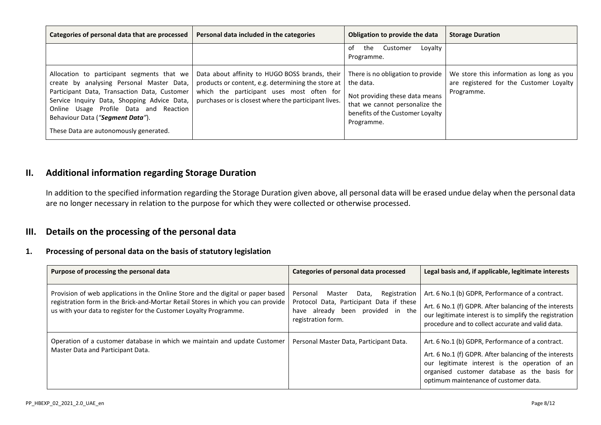| Categories of personal data that are processed                                                                                                                                                                                                                                                                 | Personal data included in the categories                                                                                                                                                                  | Obligation to provide the data                                                                                                                                       | <b>Storage Duration</b>                                                                           |
|----------------------------------------------------------------------------------------------------------------------------------------------------------------------------------------------------------------------------------------------------------------------------------------------------------------|-----------------------------------------------------------------------------------------------------------------------------------------------------------------------------------------------------------|----------------------------------------------------------------------------------------------------------------------------------------------------------------------|---------------------------------------------------------------------------------------------------|
|                                                                                                                                                                                                                                                                                                                |                                                                                                                                                                                                           | Loyalty<br>Customer<br>the<br>of<br>Programme.                                                                                                                       |                                                                                                   |
| Allocation to participant segments that we<br>create by analysing Personal Master Data,<br>Participant Data, Transaction Data, Customer<br>Service Inquiry Data, Shopping Advice Data,<br>Online Usage Profile Data and Reaction<br>Behaviour Data ("Segment Data").<br>These Data are autonomously generated. | Data about affinity to HUGO BOSS brands, their<br>products or content, e.g. determining the store at<br>which the participant uses most often for<br>purchases or is closest where the participant lives. | There is no obligation to provide<br>the data.<br>Not providing these data means<br>that we cannot personalize the<br>benefits of the Customer Loyalty<br>Programme. | We store this information as long as you<br>are registered for the Customer Loyalty<br>Programme. |

## <span id="page-7-0"></span>**II. Additional information regarding Storage Duration**

In addition to the specified information regarding the Storage Duration given above, all personal data will be erased undue delay when the personal data are no longer necessary in relation to the purpose for which they were collected or otherwise processed.

### <span id="page-7-1"></span>**III. Details on the processing of the personal data**

#### **1. Processing of personal data on the basis of statutory legislation**

| Purpose of processing the personal data                                                                                                                                                                                                   | Categories of personal data processed                                                                                                              | Legal basis and, if applicable, legitimate interests                                                                                                                                                                                                  |
|-------------------------------------------------------------------------------------------------------------------------------------------------------------------------------------------------------------------------------------------|----------------------------------------------------------------------------------------------------------------------------------------------------|-------------------------------------------------------------------------------------------------------------------------------------------------------------------------------------------------------------------------------------------------------|
| Provision of web applications in the Online Store and the digital or paper based<br>registration form in the Brick-and-Mortar Retail Stores in which you can provide<br>us with your data to register for the Customer Loyalty Programme. | Registration<br>Personal<br>Data,<br>Master<br>Protocol Data, Participant Data if these<br>have already been provided in the<br>registration form. | Art. 6 No.1 (b) GDPR, Performance of a contract.<br>Art. 6 No.1 (f) GDPR. After balancing of the interests<br>our legitimate interest is to simplify the registration<br>procedure and to collect accurate and valid data.                            |
| Operation of a customer database in which we maintain and update Customer<br>Master Data and Participant Data.                                                                                                                            | Personal Master Data, Participant Data.                                                                                                            | Art. 6 No.1 (b) GDPR, Performance of a contract.<br>Art. 6 No.1 (f) GDPR. After balancing of the interests<br>our legitimate interest is the operation of an<br>organised customer database as the basis for<br>optimum maintenance of customer data. |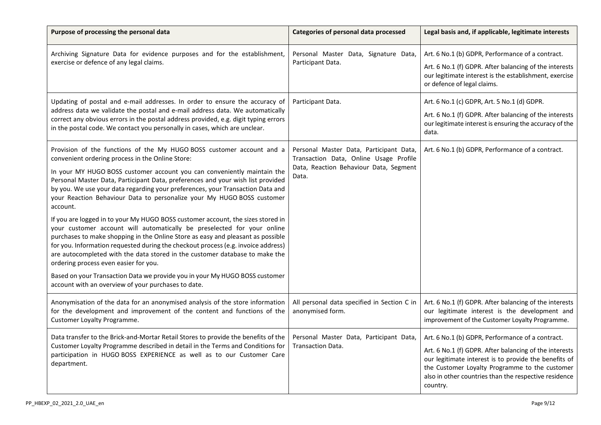| Purpose of processing the personal data                                                                                                                                                                                                                                                                                                                                                                                                                                                                                                                                                                                                                                                                                                                                                                                                                                                                                                                                                                                                                             | Categories of personal data processed                                                                                                | Legal basis and, if applicable, legitimate interests                                                                                                                                                                                                                                       |
|---------------------------------------------------------------------------------------------------------------------------------------------------------------------------------------------------------------------------------------------------------------------------------------------------------------------------------------------------------------------------------------------------------------------------------------------------------------------------------------------------------------------------------------------------------------------------------------------------------------------------------------------------------------------------------------------------------------------------------------------------------------------------------------------------------------------------------------------------------------------------------------------------------------------------------------------------------------------------------------------------------------------------------------------------------------------|--------------------------------------------------------------------------------------------------------------------------------------|--------------------------------------------------------------------------------------------------------------------------------------------------------------------------------------------------------------------------------------------------------------------------------------------|
| Archiving Signature Data for evidence purposes and for the establishment,<br>exercise or defence of any legal claims.                                                                                                                                                                                                                                                                                                                                                                                                                                                                                                                                                                                                                                                                                                                                                                                                                                                                                                                                               | Personal Master Data, Signature Data,<br>Participant Data.                                                                           | Art. 6 No.1 (b) GDPR, Performance of a contract.<br>Art. 6 No.1 (f) GDPR. After balancing of the interests<br>our legitimate interest is the establishment, exercise<br>or defence of legal claims.                                                                                        |
| Updating of postal and e-mail addresses. In order to ensure the accuracy of<br>address data we validate the postal and e-mail address data. We automatically<br>correct any obvious errors in the postal address provided, e.g. digit typing errors<br>in the postal code. We contact you personally in cases, which are unclear.                                                                                                                                                                                                                                                                                                                                                                                                                                                                                                                                                                                                                                                                                                                                   | Participant Data.                                                                                                                    | Art. 6 No.1 (c) GDPR, Art. 5 No.1 (d) GDPR.<br>Art. 6 No.1 (f) GDPR. After balancing of the interests<br>our legitimate interest is ensuring the accuracy of the<br>data.                                                                                                                  |
| Provision of the functions of the My HUGO BOSS customer account and a<br>convenient ordering process in the Online Store:<br>In your MY HUGO BOSS customer account you can conveniently maintain the<br>Personal Master Data, Participant Data, preferences and your wish list provided<br>by you. We use your data regarding your preferences, your Transaction Data and<br>your Reaction Behaviour Data to personalize your My HUGO BOSS customer<br>account.<br>If you are logged in to your My HUGO BOSS customer account, the sizes stored in<br>your customer account will automatically be preselected for your online<br>purchases to make shopping in the Online Store as easy and pleasant as possible<br>for you. Information requested during the checkout process (e.g. invoice address)<br>are autocompleted with the data stored in the customer database to make the<br>ordering process even easier for you.<br>Based on your Transaction Data we provide you in your My HUGO BOSS customer<br>account with an overview of your purchases to date. | Personal Master Data, Participant Data,<br>Transaction Data, Online Usage Profile<br>Data, Reaction Behaviour Data, Segment<br>Data. | Art. 6 No.1 (b) GDPR, Performance of a contract.                                                                                                                                                                                                                                           |
| Anonymisation of the data for an anonymised analysis of the store information<br>for the development and improvement of the content and functions of the<br>Customer Loyalty Programme.                                                                                                                                                                                                                                                                                                                                                                                                                                                                                                                                                                                                                                                                                                                                                                                                                                                                             | All personal data specified in Section C in<br>anonymised form.                                                                      | Art. 6 No.1 (f) GDPR. After balancing of the interests<br>our legitimate interest is the development and<br>improvement of the Customer Loyalty Programme.                                                                                                                                 |
| Data transfer to the Brick-and-Mortar Retail Stores to provide the benefits of the<br>Customer Loyalty Programme described in detail in the Terms and Conditions for<br>participation in HUGO BOSS EXPERIENCE as well as to our Customer Care<br>department.                                                                                                                                                                                                                                                                                                                                                                                                                                                                                                                                                                                                                                                                                                                                                                                                        | Personal Master Data, Participant Data,<br>Transaction Data.                                                                         | Art. 6 No.1 (b) GDPR, Performance of a contract.<br>Art. 6 No.1 (f) GDPR. After balancing of the interests<br>our legitimate interest is to provide the benefits of<br>the Customer Loyalty Programme to the customer<br>also in other countries than the respective residence<br>country. |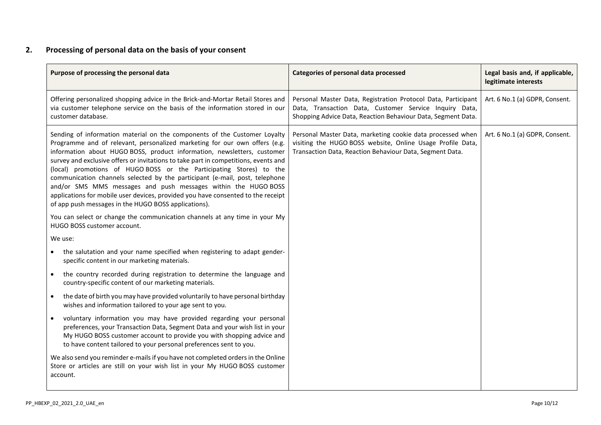## **2. Processing of personal data on the basis of your consent**

| Purpose of processing the personal data                                                                                                                                                                                                                                                                                                                                                                                                                                                                                                                                                                                                                                                      | Categories of personal data processed                                                                                                                                                   | Legal basis and, if applicable,<br>legitimate interests |
|----------------------------------------------------------------------------------------------------------------------------------------------------------------------------------------------------------------------------------------------------------------------------------------------------------------------------------------------------------------------------------------------------------------------------------------------------------------------------------------------------------------------------------------------------------------------------------------------------------------------------------------------------------------------------------------------|-----------------------------------------------------------------------------------------------------------------------------------------------------------------------------------------|---------------------------------------------------------|
| Offering personalized shopping advice in the Brick-and-Mortar Retail Stores and<br>via customer telephone service on the basis of the information stored in our<br>customer database.                                                                                                                                                                                                                                                                                                                                                                                                                                                                                                        | Personal Master Data, Registration Protocol Data, Participant<br>Data, Transaction Data, Customer Service Inquiry Data,<br>Shopping Advice Data, Reaction Behaviour Data, Segment Data. | Art. 6 No.1 (a) GDPR, Consent.                          |
| Sending of information material on the components of the Customer Loyalty<br>Programme and of relevant, personalized marketing for our own offers (e.g.<br>information about HUGO BOSS, product information, newsletters, customer<br>survey and exclusive offers or invitations to take part in competitions, events and<br>(local) promotions of HUGOBOSS or the Participating Stores) to the<br>communication channels selected by the participant (e-mail, post, telephone<br>and/or SMS MMS messages and push messages within the HUGO BOSS<br>applications for mobile user devices, provided you have consented to the receipt<br>of app push messages in the HUGO BOSS applications). | Personal Master Data, marketing cookie data processed when<br>visiting the HUGO BOSS website, Online Usage Profile Data,<br>Transaction Data, Reaction Behaviour Data, Segment Data.    | Art. 6 No.1 (a) GDPR, Consent.                          |
| You can select or change the communication channels at any time in your My<br>HUGO BOSS customer account.                                                                                                                                                                                                                                                                                                                                                                                                                                                                                                                                                                                    |                                                                                                                                                                                         |                                                         |
| We use:                                                                                                                                                                                                                                                                                                                                                                                                                                                                                                                                                                                                                                                                                      |                                                                                                                                                                                         |                                                         |
| the salutation and your name specified when registering to adapt gender-<br>specific content in our marketing materials.                                                                                                                                                                                                                                                                                                                                                                                                                                                                                                                                                                     |                                                                                                                                                                                         |                                                         |
| the country recorded during registration to determine the language and<br>$\bullet$<br>country-specific content of our marketing materials.                                                                                                                                                                                                                                                                                                                                                                                                                                                                                                                                                  |                                                                                                                                                                                         |                                                         |
| the date of birth you may have provided voluntarily to have personal birthday<br>wishes and information tailored to your age sent to you.                                                                                                                                                                                                                                                                                                                                                                                                                                                                                                                                                    |                                                                                                                                                                                         |                                                         |
| voluntary information you may have provided regarding your personal<br>preferences, your Transaction Data, Segment Data and your wish list in your<br>My HUGO BOSS customer account to provide you with shopping advice and<br>to have content tailored to your personal preferences sent to you.                                                                                                                                                                                                                                                                                                                                                                                            |                                                                                                                                                                                         |                                                         |
| We also send you reminder e-mails if you have not completed orders in the Online<br>Store or articles are still on your wish list in your My HUGO BOSS customer<br>account.                                                                                                                                                                                                                                                                                                                                                                                                                                                                                                                  |                                                                                                                                                                                         |                                                         |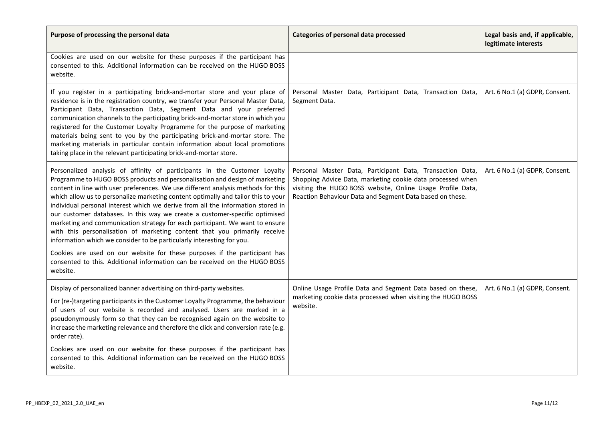| Purpose of processing the personal data                                                                                                                                                                                                                                                                                                                                                                                                                                                                                                                                                                                                                                                                                                                                                                                 | Categories of personal data processed                                                                                                                                                                                                             | Legal basis and, if applicable,<br>legitimate interests |
|-------------------------------------------------------------------------------------------------------------------------------------------------------------------------------------------------------------------------------------------------------------------------------------------------------------------------------------------------------------------------------------------------------------------------------------------------------------------------------------------------------------------------------------------------------------------------------------------------------------------------------------------------------------------------------------------------------------------------------------------------------------------------------------------------------------------------|---------------------------------------------------------------------------------------------------------------------------------------------------------------------------------------------------------------------------------------------------|---------------------------------------------------------|
| Cookies are used on our website for these purposes if the participant has<br>consented to this. Additional information can be received on the HUGO BOSS<br>website.                                                                                                                                                                                                                                                                                                                                                                                                                                                                                                                                                                                                                                                     |                                                                                                                                                                                                                                                   |                                                         |
| If you register in a participating brick-and-mortar store and your place of<br>residence is in the registration country, we transfer your Personal Master Data,<br>Participant Data, Transaction Data, Segment Data and your preferred<br>communication channels to the participating brick-and-mortar store in which you<br>registered for the Customer Loyalty Programme for the purpose of marketing<br>materials being sent to you by the participating brick-and-mortar store. The<br>marketing materials in particular contain information about local promotions<br>taking place in the relevant participating brick-and-mortar store.                                                                                                                                                                           | Personal Master Data, Participant Data, Transaction Data,<br>Segment Data.                                                                                                                                                                        | Art. 6 No.1 (a) GDPR, Consent.                          |
| Personalized analysis of affinity of participants in the Customer Loyalty<br>Programme to HUGO BOSS products and personalisation and design of marketing<br>content in line with user preferences. We use different analysis methods for this<br>which allow us to personalize marketing content optimally and tailor this to your<br>individual personal interest which we derive from all the information stored in<br>our customer databases. In this way we create a customer-specific optimised<br>marketing and communication strategy for each participant. We want to ensure<br>with this personalisation of marketing content that you primarily receive<br>information which we consider to be particularly interesting for you.<br>Cookies are used on our website for these purposes if the participant has | Personal Master Data, Participant Data, Transaction Data,<br>Shopping Advice Data, marketing cookie data processed when<br>visiting the HUGO BOSS website, Online Usage Profile Data,<br>Reaction Behaviour Data and Segment Data based on these. | Art. 6 No.1 (a) GDPR, Consent.                          |
| consented to this. Additional information can be received on the HUGO BOSS<br>website.                                                                                                                                                                                                                                                                                                                                                                                                                                                                                                                                                                                                                                                                                                                                  |                                                                                                                                                                                                                                                   |                                                         |
| Display of personalized banner advertising on third-party websites.<br>For (re-)targeting participants in the Customer Loyalty Programme, the behaviour<br>of users of our website is recorded and analysed. Users are marked in a<br>pseudonymously form so that they can be recognised again on the website to<br>increase the marketing relevance and therefore the click and conversion rate (e.g.<br>order rate).                                                                                                                                                                                                                                                                                                                                                                                                  | Online Usage Profile Data and Segment Data based on these,<br>marketing cookie data processed when visiting the HUGO BOSS<br>website.                                                                                                             | Art. 6 No.1 (a) GDPR, Consent.                          |
| Cookies are used on our website for these purposes if the participant has<br>consented to this. Additional information can be received on the HUGO BOSS<br>website.                                                                                                                                                                                                                                                                                                                                                                                                                                                                                                                                                                                                                                                     |                                                                                                                                                                                                                                                   |                                                         |